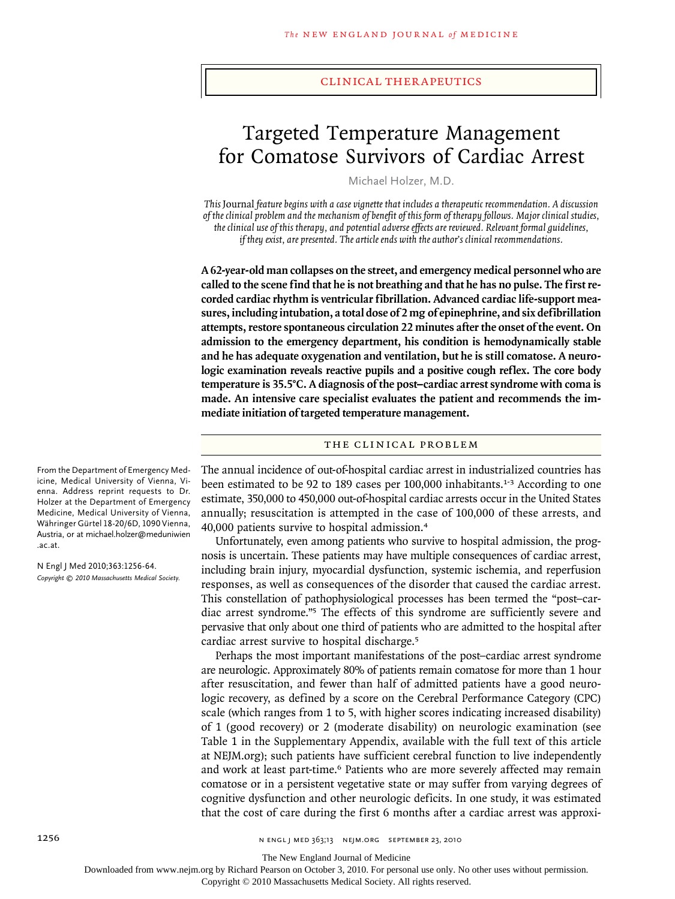#### clinical therapeutics

# Targeted Temperature Management for Comatose Survivors of Cardiac Arrest

Michael Holzer, M.D.

*This* Journal *feature begins with a case vignette that includes a therapeutic recommendation. A discussion of the clinical problem and the mechanism of benefit of this form of therapy follows. Major clinical studies, the clinical use of this therapy, and potential adverse effects are reviewed. Relevant formal guidelines, if they exist, are presented. The article ends with the author's clinical recommendations.*

**A 62-year-old man collapses on the street, and emergency medical personnel who are called to the scene find that he is not breathing and that he has no pulse. The first recorded cardiac rhythm is ventricular fibrillation. Advanced cardiac life-support measures, including intubation, a total dose of 2 mg of epinephrine, and six defibrillation attempts, restore spontaneous circulation 22 minutes after the onset of the event. On admission to the emergency department, his condition is hemodynamically stable and he has adequate oxygenation and ventilation, but he is still comatose. A neurologic examination reveals reactive pupils and a positive cough reflex. The core body temperature is 35.5°C. A diagnosis of the post–cardiac arrest syndrome with coma is made. An intensive care specialist evaluates the patient and recommends the immediate initiation of targeted temperature management.**

## THE CLINICAL PROBLEM

The annual incidence of out-of-hospital cardiac arrest in industrialized countries has been estimated to be 92 to 189 cases per 100,000 inhabitants.<sup>1-3</sup> According to one estimate, 350,000 to 450,000 out-of-hospital cardiac arrests occur in the United States annually; resuscitation is attempted in the case of 100,000 of these arrests, and 40,000 patients survive to hospital admission.<sup>4</sup>

Unfortunately, even among patients who survive to hospital admission, the prognosis is uncertain. These patients may have multiple consequences of cardiac arrest, including brain injury, myocardial dysfunction, systemic ischemia, and reperfusion responses, as well as consequences of the disorder that caused the cardiac arrest. This constellation of pathophysiological processes has been termed the "post–cardiac arrest syndrome."5 The effects of this syndrome are sufficiently severe and pervasive that only about one third of patients who are admitted to the hospital after cardiac arrest survive to hospital discharge.<sup>5</sup>

Perhaps the most important manifestations of the post–cardiac arrest syndrome are neurologic. Approximately 80% of patients remain comatose for more than 1 hour after resuscitation, and fewer than half of admitted patients have a good neurologic recovery, as defined by a score on the Cerebral Performance Category (CPC) scale (which ranges from 1 to 5, with higher scores indicating increased disability) of 1 (good recovery) or 2 (moderate disability) on neurologic examination (see Table 1 in the Supplementary Appendix, available with the full text of this article at NEJM.org); such patients have sufficient cerebral function to live independently and work at least part-time.<sup>6</sup> Patients who are more severely affected may remain comatose or in a persistent vegetative state or may suffer from varying degrees of cognitive dysfunction and other neurologic deficits. In one study, it was estimated that the cost of care during the first 6 months after a cardiac arrest was approxi-

From the Department of Emergency Medicine, Medical University of Vienna, Vienna. Address reprint requests to Dr. Holzer at the Department of Emergency Medicine, Medical University of Vienna, Währinger Gürtel 18-20/6D, 1090 Vienna, Austria, or at michael.holzer@meduniwien .ac.at.

N Engl J Med 2010;363:1256-64. *Copyright © 2010 Massachusetts Medical Society.*

The New England Journal of Medicine

Downloaded from www.nejm.org by Richard Pearson on October 3, 2010. For personal use only. No other uses without permission.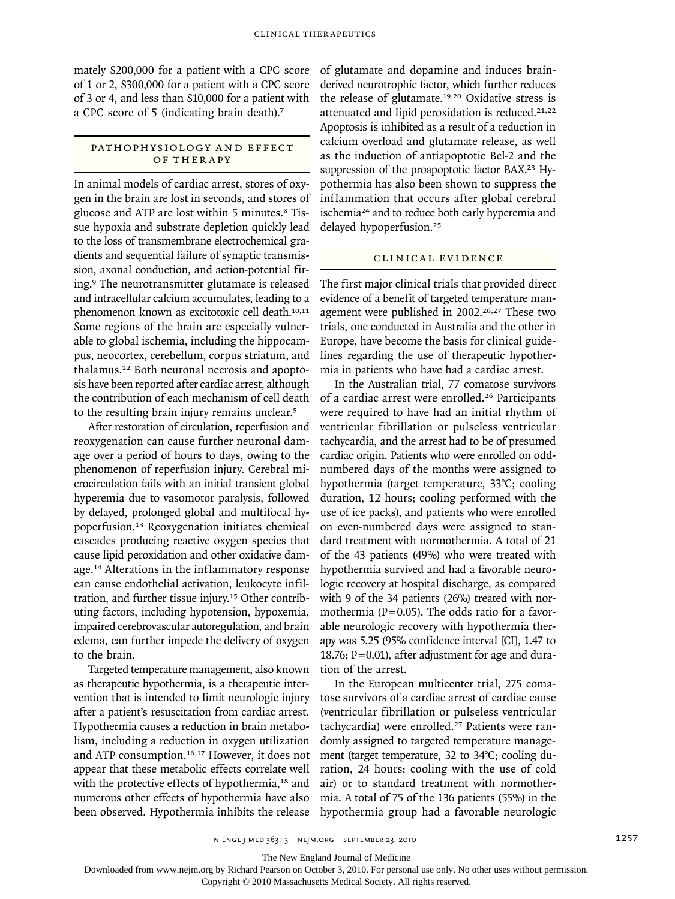mately \$200,000 for a patient with a CPC score of 1 or 2, \$300,000 for a patient with a CPC score of 3 or 4, and less than \$10,000 for a patient with a CPC score of 5 (indicating brain death).<sup>7</sup>

## PATHOPHYSIOLOGY AND EFFECT OF THER A PY

In animal models of cardiac arrest, stores of oxygen in the brain are lost in seconds, and stores of glucose and ATP are lost within 5 minutes.<sup>8</sup> Tissue hypoxia and substrate depletion quickly lead to the loss of transmembrane electrochemical gradients and sequential failure of synaptic transmission, axonal conduction, and action-potential firing.9 The neurotransmitter glutamate is released and intracellular calcium accumulates, leading to a phenomenon known as excitotoxic cell death.10,11 Some regions of the brain are especially vulnerable to global ischemia, including the hippocampus, neocortex, cerebellum, corpus striatum, and thalamus.12 Both neuronal necrosis and apoptosis have been reported after cardiac arrest, although the contribution of each mechanism of cell death to the resulting brain injury remains unclear.<sup>5</sup>

After restoration of circulation, reperfusion and reoxygenation can cause further neuronal damage over a period of hours to days, owing to the phenomenon of reperfusion injury. Cerebral microcirculation fails with an initial transient global hyperemia due to vasomotor paralysis, followed by delayed, prolonged global and multifocal hypoperfusion.13 Reoxygenation initiates chemical cascades producing reactive oxygen species that cause lipid peroxidation and other oxidative damage.14 Alterations in the inflammatory response can cause endothelial activation, leukocyte infiltration, and further tissue injury.15 Other contributing factors, including hypotension, hypoxemia, impaired cerebrovascular autoregulation, and brain edema, can further impede the delivery of oxygen to the brain.

Targeted temperature management, also known as therapeutic hypothermia, is a therapeutic intervention that is intended to limit neurologic injury after a patient's resuscitation from cardiac arrest. Hypothermia causes a reduction in brain metabolism, including a reduction in oxygen utilization and ATP consumption.16,17 However, it does not appear that these metabolic effects correlate well with the protective effects of hypothermia,<sup>18</sup> and numerous other effects of hypothermia have also been observed. Hypothermia inhibits the release of glutamate and dopamine and induces brainderived neurotrophic factor, which further reduces the release of glutamate.19,20 Oxidative stress is attenuated and lipid peroxidation is reduced.<sup>21,22</sup> Apoptosis is inhibited as a result of a reduction in calcium overload and glutamate release, as well as the induction of antiapoptotic Bcl-2 and the suppression of the proapoptotic factor BAX.<sup>23</sup> Hypothermia has also been shown to suppress the inflammation that occurs after global cerebral ischemia24 and to reduce both early hyperemia and delayed hypoperfusion.<sup>25</sup>

## CLINICAL EVIDENCE

The first major clinical trials that provided direct evidence of a benefit of targeted temperature management were published in 2002.<sup>26,27</sup> These two trials, one conducted in Australia and the other in Europe, have become the basis for clinical guidelines regarding the use of therapeutic hypothermia in patients who have had a cardiac arrest.

In the Australian trial, 77 comatose survivors of a cardiac arrest were enrolled.26 Participants were required to have had an initial rhythm of ventricular fibrillation or pulseless ventricular tachycardia, and the arrest had to be of presumed cardiac origin. Patients who were enrolled on oddnumbered days of the months were assigned to hypothermia (target temperature, 33°C; cooling duration, 12 hours; cooling performed with the use of ice packs), and patients who were enrolled on even-numbered days were assigned to standard treatment with normothermia. A total of 21 of the 43 patients (49%) who were treated with hypothermia survived and had a favorable neurologic recovery at hospital discharge, as compared with 9 of the 34 patients (26%) treated with normothermia ( $P=0.05$ ). The odds ratio for a favorable neurologic recovery with hypothermia therapy was 5.25 (95% confidence interval [CI], 1.47 to 18.76;  $P = 0.01$ ), after adjustment for age and duration of the arrest.

In the European multicenter trial, 275 comatose survivors of a cardiac arrest of cardiac cause (ventricular fibrillation or pulseless ventricular tachycardia) were enrolled.27 Patients were randomly assigned to targeted temperature management (target temperature, 32 to 34°C; cooling duration, 24 hours; cooling with the use of cold air) or to standard treatment with normothermia. A total of 75 of the 136 patients (55%) in the hypothermia group had a favorable neurologic

The New England Journal of Medicine

Downloaded from www.nejm.org by Richard Pearson on October 3, 2010. For personal use only. No other uses without permission.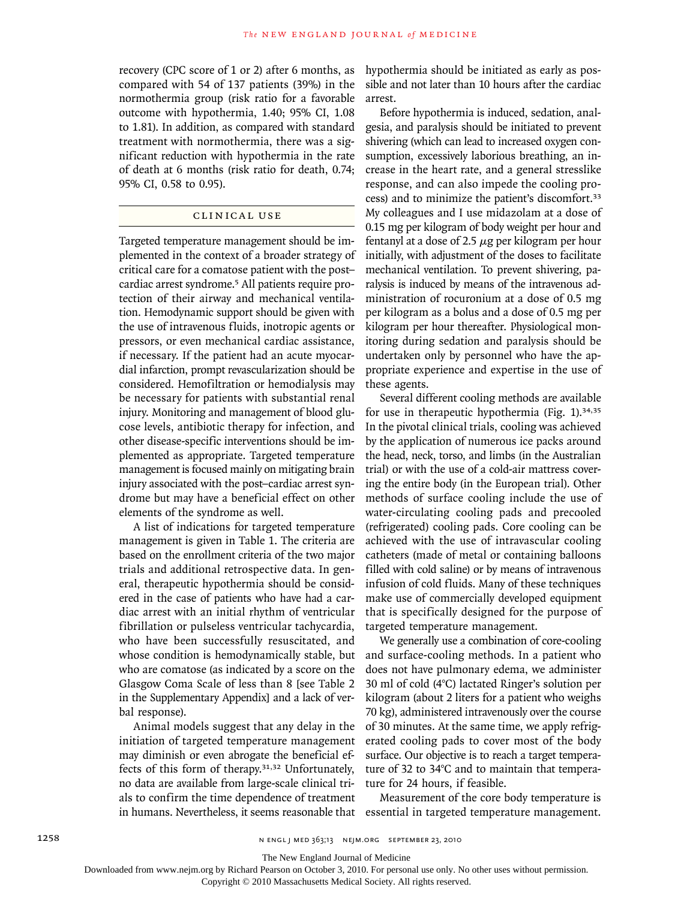recovery (CPC score of 1 or 2) after 6 months, as compared with 54 of 137 patients (39%) in the normothermia group (risk ratio for a favorable outcome with hypothermia, 1.40; 95% CI, 1.08 to 1.81). In addition, as compared with standard treatment with normothermia, there was a significant reduction with hypothermia in the rate of death at 6 months (risk ratio for death, 0.74; 95% CI, 0.58 to 0.95).

## CLINICAL USE

Targeted temperature management should be implemented in the context of a broader strategy of critical care for a comatose patient with the post– cardiac arrest syndrome.5 All patients require protection of their airway and mechanical ventilation. Hemodynamic support should be given with the use of intravenous fluids, inotropic agents or pressors, or even mechanical cardiac assistance, if necessary. If the patient had an acute myocardial infarction, prompt revascularization should be considered. Hemofiltration or hemodialysis may be necessary for patients with substantial renal injury. Monitoring and management of blood glucose levels, antibiotic therapy for infection, and other disease-specific interventions should be implemented as appropriate. Targeted temperature management is focused mainly on mitigating brain injury associated with the post–cardiac arrest syndrome but may have a beneficial effect on other elements of the syndrome as well.

A list of indications for targeted temperature management is given in Table 1. The criteria are based on the enrollment criteria of the two major trials and additional retrospective data. In general, therapeutic hypothermia should be considered in the case of patients who have had a cardiac arrest with an initial rhythm of ventricular fibrillation or pulseless ventricular tachycardia, who have been successfully resuscitated, and whose condition is hemodynamically stable, but who are comatose (as indicated by a score on the Glasgow Coma Scale of less than 8 [see Table 2 in the Supplementary Appendix] and a lack of verbal response).

Animal models suggest that any delay in the initiation of targeted temperature management may diminish or even abrogate the beneficial effects of this form of therapy.31,32 Unfortunately, no data are available from large-scale clinical trials to confirm the time dependence of treatment in humans. Nevertheless, it seems reasonable that hypothermia should be initiated as early as possible and not later than 10 hours after the cardiac arrest.

Before hypothermia is induced, sedation, analgesia, and paralysis should be initiated to prevent shivering (which can lead to increased oxygen consumption, excessively laborious breathing, an increase in the heart rate, and a general stresslike response, and can also impede the cooling process) and to minimize the patient's discomfort.<sup>33</sup> My colleagues and I use midazolam at a dose of 0.15 mg per kilogram of body weight per hour and fentanyl at a dose of 2.5  $\mu$ g per kilogram per hour initially, with adjustment of the doses to facilitate mechanical ventilation. To prevent shivering, paralysis is induced by means of the intravenous administration of rocuronium at a dose of 0.5 mg per kilogram as a bolus and a dose of 0.5 mg per kilogram per hour thereafter. Physiological monitoring during sedation and paralysis should be undertaken only by personnel who have the appropriate experience and expertise in the use of these agents.

Several different cooling methods are available for use in therapeutic hypothermia (Fig. 1).34,35 In the pivotal clinical trials, cooling was achieved by the application of numerous ice packs around the head, neck, torso, and limbs (in the Australian trial) or with the use of a cold-air mattress covering the entire body (in the European trial). Other methods of surface cooling include the use of water-circulating cooling pads and precooled (refrigerated) cooling pads. Core cooling can be achieved with the use of intravascular cooling catheters (made of metal or containing balloons filled with cold saline) or by means of intravenous infusion of cold fluids. Many of these techniques make use of commercially developed equipment that is specifically designed for the purpose of targeted temperature management.

We generally use a combination of core-cooling and surface-cooling methods. In a patient who does not have pulmonary edema, we administer 30 ml of cold (4°C) lactated Ringer's solution per kilogram (about 2 liters for a patient who weighs 70 kg), administered intravenously over the course of 30 minutes. At the same time, we apply refrigerated cooling pads to cover most of the body surface. Our objective is to reach a target temperature of 32 to 34°C and to maintain that temperature for 24 hours, if feasible.

Measurement of the core body temperature is essential in targeted temperature management.

The New England Journal of Medicine

Downloaded from www.nejm.org by Richard Pearson on October 3, 2010. For personal use only. No other uses without permission.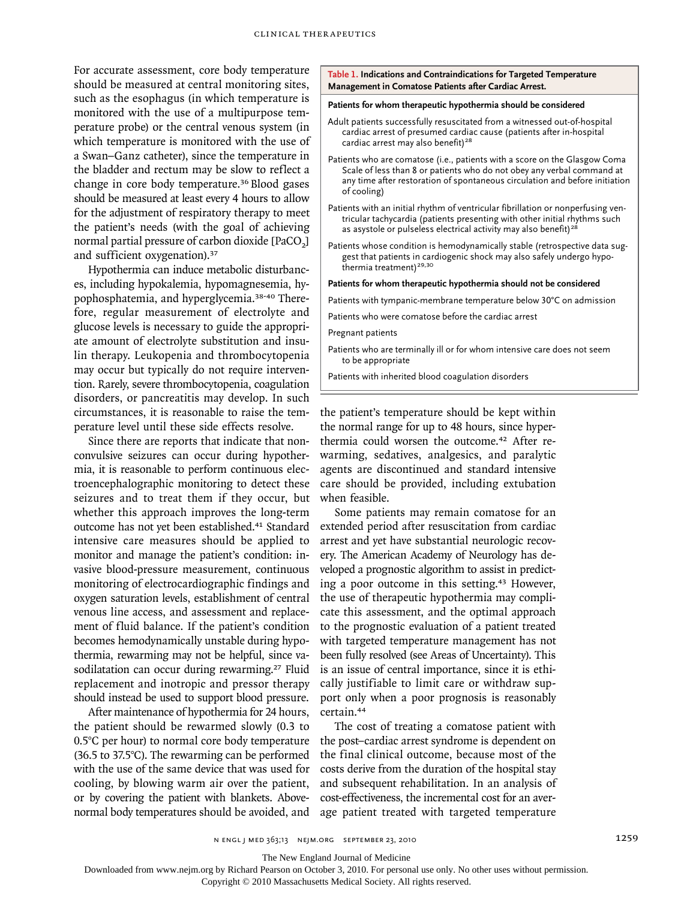For accurate assessment, core body temperature should be measured at central monitoring sites, such as the esophagus (in which temperature is monitored with the use of a multipurpose temperature probe) or the central venous system (in which temperature is monitored with the use of a Swan–Ganz catheter), since the temperature in the bladder and rectum may be slow to reflect a change in core body temperature.36 Blood gases should be measured at least every 4 hours to allow for the adjustment of respiratory therapy to meet the patient's needs (with the goal of achieving normal partial pressure of carbon dioxide [PaCO<sub>2</sub>] and sufficient oxygenation).<sup>37</sup>

Hypothermia can induce metabolic disturbances, including hypokalemia, hypomagnesemia, hypophosphatemia, and hyperglycemia.38-40 Therefore, regular measurement of electrolyte and glucose levels is necessary to guide the appropriate amount of electrolyte substitution and insulin therapy. Leukopenia and thrombocytopenia may occur but typically do not require intervention. Rarely, severe thrombocytopenia, coagulation disorders, or pancreatitis may develop. In such circumstances, it is reasonable to raise the temperature level until these side effects resolve.

Since there are reports that indicate that nonconvulsive seizures can occur during hypothermia, it is reasonable to perform continuous electroencephalographic monitoring to detect these seizures and to treat them if they occur, but whether this approach improves the long-term outcome has not yet been established.<sup>41</sup> Standard intensive care measures should be applied to monitor and manage the patient's condition: invasive blood-pressure measurement, continuous monitoring of electrocardiographic findings and oxygen saturation levels, establishment of central venous line access, and assessment and replacement of fluid balance. If the patient's condition becomes hemodynamically unstable during hypothermia, rewarming may not be helpful, since vasodilatation can occur during rewarming.<sup>27</sup> Fluid replacement and inotropic and pressor therapy should instead be used to support blood pressure.

After maintenance of hypothermia for 24 hours, the patient should be rewarmed slowly (0.3 to 0.5°C per hour) to normal core body temperature (36.5 to 37.5°C). The rewarming can be performed with the use of the same device that was used for cooling, by blowing warm air over the patient, or by covering the patient with blankets. Abovenormal body temperatures should be avoided, and **Table 1. Indications and Contraindications for Targeted Temperature Management in Comatose Patients after Cardiac Arrest.**

#### **Patients for whom therapeutic hypothermia should be considered**

- Adult patients successfully resuscitated from a witnessed out-of-hospital cardiac arrest of presumed cardiac cause (patients after in-hospital cardiac arrest may also benefit)<sup>28</sup>
- Patients who are comatose (i.e., patients with a score on the Glasgow Coma Scale of less than 8 or patients who do not obey any verbal command at any time after restoration of spontaneous circulation and before initiation of cooling)
- Patients with an initial rhythm of ventricular fibrillation or nonperfusing ventricular tachycardia (patients presenting with other initial rhythms such as asystole or pulseless electrical activity may also benefit)<sup>28</sup>
- Patients whose condition is hemodynamically stable (retrospective data suggest that patients in cardiogenic shock may also safely undergo hypothermia treatment)<sup>29,30</sup>

#### **Patients for whom therapeutic hypothermia should not be considered**

Patients with tympanic-membrane temperature below 30°C on admission

Patients who were comatose before the cardiac arrest

Pregnant patients

Patients who are terminally ill or for whom intensive care does not seem to be appropriate

Patients with inherited blood coagulation disorders

the patient's temperature should be kept within the normal range for up to 48 hours, since hyperthermia could worsen the outcome.<sup>42</sup> After rewarming, sedatives, analgesics, and paralytic agents are discontinued and standard intensive care should be provided, including extubation when feasible.

Some patients may remain comatose for an extended period after resuscitation from cardiac arrest and yet have substantial neurologic recovery. The American Academy of Neurology has developed a prognostic algorithm to assist in predicting a poor outcome in this setting.<sup>43</sup> However, the use of therapeutic hypothermia may complicate this assessment, and the optimal approach to the prognostic evaluation of a patient treated with targeted temperature management has not been fully resolved (see Areas of Uncertainty). This is an issue of central importance, since it is ethically justifiable to limit care or withdraw support only when a poor prognosis is reasonably certain.<sup>44</sup>

The cost of treating a comatose patient with the post–cardiac arrest syndrome is dependent on the final clinical outcome, because most of the costs derive from the duration of the hospital stay and subsequent rehabilitation. In an analysis of cost-effectiveness, the incremental cost for an average patient treated with targeted temperature

The New England Journal of Medicine

Downloaded from www.nejm.org by Richard Pearson on October 3, 2010. For personal use only. No other uses without permission.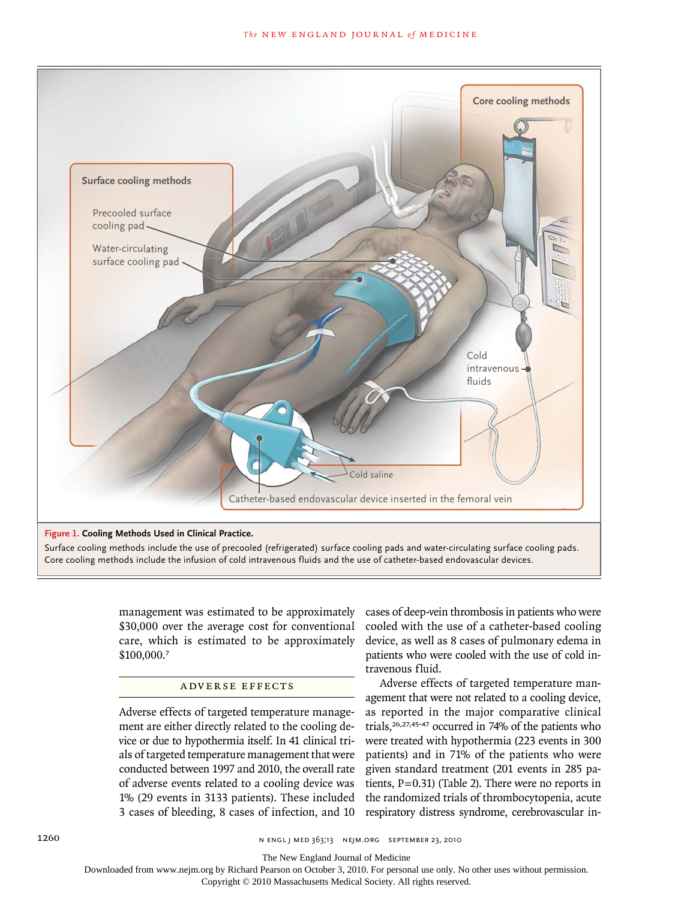

management was estimated to be approximately \$30,000 over the average cost for conventional care, which is estimated to be approximately \$100,000.<sup>7</sup>

### ADVERSE EFFECTS

Adverse effects of targeted temperature management are either directly related to the cooling device or due to hypothermia itself. In 41 clinical trials of targeted temperature management that were conducted between 1997 and 2010, the overall rate of adverse events related to a cooling device was 1% (29 events in 3133 patients). These included 3 cases of bleeding, 8 cases of infection, and 10

cases of deep-vein thrombosis in patients who were cooled with the use of a catheter-based cooling device, as well as 8 cases of pulmonary edema in patients who were cooled with the use of cold intravenous fluid.

Adverse effects of targeted temperature management that were not related to a cooling device, as reported in the major comparative clinical trials,26,27,45-47 occurred in 74% of the patients who were treated with hypothermia (223 events in 300 patients) and in 71% of the patients who were given standard treatment (201 events in 285 patients,  $P = 0.31$ ) (Table 2). There were no reports in the randomized trials of thrombocytopenia, acute respiratory distress syndrome, cerebrovascular in-

The New England Journal of Medicine

Downloaded from www.nejm.org by Richard Pearson on October 3, 2010. For personal use only. No other uses without permission.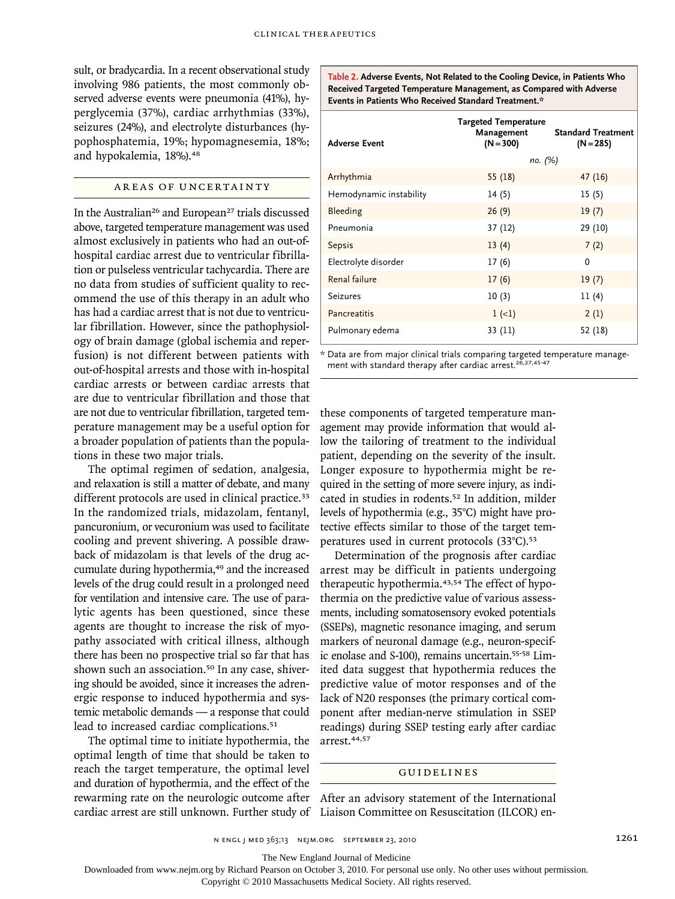sult, or bradycardia. In a recent observational study involving 986 patients, the most commonly observed adverse events were pneumonia (41%), hyperglycemia (37%), cardiac arrhythmias (33%), seizures (24%), and electrolyte disturbances (hypophosphatemia, 19%; hypomagnesemia, 18%; and hypokalemia, 18%).<sup>48</sup>

## AREAS OF UNCERTAINTY

In the Australian<sup>26</sup> and European<sup>27</sup> trials discussed above, targeted temperature management was used almost exclusively in patients who had an out-ofhospital cardiac arrest due to ventricular fibrillation or pulseless ventricular tachycardia. There are no data from studies of sufficient quality to recommend the use of this therapy in an adult who has had a cardiac arrest that is not due to ventricular fibrillation. However, since the pathophysiology of brain damage (global ischemia and reperfusion) is not different between patients with out-of-hospital arrests and those with in-hospital cardiac arrests or between cardiac arrests that are due to ventricular fibrillation and those that are not due to ventricular fibrillation, targeted temperature management may be a useful option for a broader population of patients than the populations in these two major trials.

The optimal regimen of sedation, analgesia, and relaxation is still a matter of debate, and many different protocols are used in clinical practice.<sup>33</sup> In the randomized trials, midazolam, fentanyl, pancuronium, or vecuronium was used to facilitate cooling and prevent shivering. A possible drawback of midazolam is that levels of the drug accumulate during hypothermia,<sup>49</sup> and the increased levels of the drug could result in a prolonged need for ventilation and intensive care. The use of paralytic agents has been questioned, since these agents are thought to increase the risk of myopathy associated with critical illness, although there has been no prospective trial so far that has shown such an association.<sup>50</sup> In any case, shivering should be avoided, since it increases the adrenergic response to induced hypothermia and systemic metabolic demands — a response that could lead to increased cardiac complications.<sup>51</sup>

The optimal time to initiate hypothermia, the optimal length of time that should be taken to reach the target temperature, the optimal level and duration of hypothermia, and the effect of the rewarming rate on the neurologic outcome after cardiac arrest are still unknown. Further study of **Table 2. Adverse Events, Not Related to the Cooling Device, in Patients Who Received Targeted Temperature Management, as Compared with Adverse Events in Patients Who Received Standard Treatment.\***

| <b>Adverse Event</b>    | <b>Targeted Temperature</b><br>Management<br>$(N = 300)$ | <b>Standard Treatment</b><br>$(N = 285)$ |
|-------------------------|----------------------------------------------------------|------------------------------------------|
|                         | no. (%)                                                  |                                          |
| Arrhythmia              | 55(18)                                                   | 47(16)                                   |
| Hemodynamic instability | 14(5)                                                    | 15(5)                                    |
| Bleeding                | 26(9)                                                    | 19(7)                                    |
| Pneumonia               | 37 (12)                                                  | 29 (10)                                  |
| Sepsis                  | 13(4)                                                    | 7(2)                                     |
| Electrolyte disorder    | 17(6)                                                    | $\Omega$                                 |
| Renal failure           | 17(6)                                                    | 19(7)                                    |
| Seizures                | 10(3)                                                    | 11(4)                                    |
| Pancreatitis            | $1(-1)$                                                  | 2(1)                                     |
| Pulmonary edema         | 33 (11)                                                  | 52 (18)                                  |

\* Data are from major clinical trials comparing targeted temperature manage-ment with standard therapy after cardiac arrest.26,27,45-47

these components of targeted temperature management may provide information that would allow the tailoring of treatment to the individual patient, depending on the severity of the insult. Longer exposure to hypothermia might be required in the setting of more severe injury, as indicated in studies in rodents.52 In addition, milder levels of hypothermia (e.g., 35°C) might have protective effects similar to those of the target temperatures used in current protocols (33°C).<sup>53</sup>

Determination of the prognosis after cardiac arrest may be difficult in patients undergoing therapeutic hypothermia.43,54 The effect of hypothermia on the predictive value of various assessments, including somatosensory evoked potentials (SSEPs), magnetic resonance imaging, and serum markers of neuronal damage (e.g., neuron-specific enolase and S-100), remains uncertain.55-58 Limited data suggest that hypothermia reduces the predictive value of motor responses and of the lack of N20 responses (the primary cortical component after median-nerve stimulation in SSEP readings) during SSEP testing early after cardiac arrest.44,57

## GUIDELINES

After an advisory statement of the International Liaison Committee on Resuscitation (ILCOR) en-

n engl j med 363;13 nejm.org september 23, 2010 1261

The New England Journal of Medicine

Downloaded from www.nejm.org by Richard Pearson on October 3, 2010. For personal use only. No other uses without permission.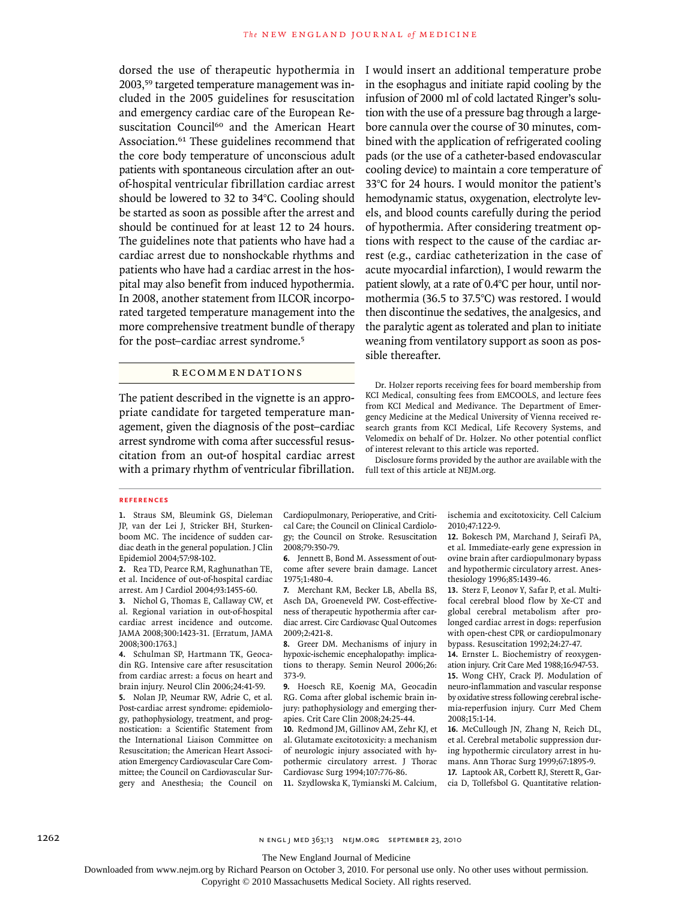dorsed the use of therapeutic hypothermia in I would insert an additional temperature probe 2003,59 targeted temperature management was included in the 2005 guidelines for resuscitation and emergency cardiac care of the European Resuscitation Council<sup>60</sup> and the American Heart Association.<sup>61</sup> These guidelines recommend that the core body temperature of unconscious adult patients with spontaneous circulation after an outof-hospital ventricular fibrillation cardiac arrest should be lowered to 32 to 34°C. Cooling should be started as soon as possible after the arrest and should be continued for at least 12 to 24 hours. The guidelines note that patients who have had a cardiac arrest due to nonshockable rhythms and patients who have had a cardiac arrest in the hospital may also benefit from induced hypothermia. In 2008, another statement from ILCOR incorporated targeted temperature management into the more comprehensive treatment bundle of therapy for the post–cardiac arrest syndrome.<sup>5</sup>

## R ECOMMENDATIONS

The patient described in the vignette is an appropriate candidate for targeted temperature management, given the diagnosis of the post–cardiac arrest syndrome with coma after successful resuscitation from an out-of hospital cardiac arrest with a primary rhythm of ventricular fibrillation. in the esophagus and initiate rapid cooling by the infusion of 2000 ml of cold lactated Ringer's solution with the use of a pressure bag through a largebore cannula over the course of 30 minutes, combined with the application of refrigerated cooling pads (or the use of a catheter-based endovascular cooling device) to maintain a core temperature of 33°C for 24 hours. I would monitor the patient's hemodynamic status, oxygenation, electrolyte levels, and blood counts carefully during the period of hypothermia. After considering treatment options with respect to the cause of the cardiac arrest (e.g., cardiac catheterization in the case of acute myocardial infarction), I would rewarm the patient slowly, at a rate of 0.4°C per hour, until normothermia (36.5 to 37.5°C) was restored. I would then discontinue the sedatives, the analgesics, and the paralytic agent as tolerated and plan to initiate weaning from ventilatory support as soon as possible thereafter.

Dr. Holzer reports receiving fees for board membership from KCI Medical, consulting fees from EMCOOLS, and lecture fees from KCI Medical and Medivance. The Department of Emergency Medicine at the Medical University of Vienna received research grants from KCI Medical, Life Recovery Systems, and Velomedix on behalf of Dr. Holzer. No other potential conflict of interest relevant to this article was reported.

Disclosure forms provided by the author are available with the full text of this article at NEJM.org.

#### **References**

**1.** Straus SM, Bleumink GS, Dieleman JP, van der Lei J, Stricker BH, Sturkenboom MC. The incidence of sudden cardiac death in the general population. J Clin Epidemiol 2004;57:98-102.

**2.** Rea TD, Pearce RM, Raghunathan TE, et al. Incidence of out-of-hospital cardiac arrest. Am J Cardiol 2004;93:1455-60.

**3.** Nichol G, Thomas E, Callaway CW, et al. Regional variation in out-of-hospital cardiac arrest incidence and outcome. JAMA 2008;300:1423-31. [Erratum, JAMA 2008;300:1763.]

**4.** Schulman SP, Hartmann TK, Geocadin RG. Intensive care after resuscitation from cardiac arrest: a focus on heart and brain injury. Neurol Clin 2006;24:41-59.

**5.** Nolan JP, Neumar RW, Adrie C, et al. Post-cardiac arrest syndrome: epidemiology, pathophysiology, treatment, and prognostication: a Scientific Statement from the International Liaison Committee on Resuscitation; the American Heart Association Emergency Cardiovascular Care Committee; the Council on Cardiovascular Surgery and Anesthesia; the Council on **11.** Szydlowska K, Tymianski M. Calcium,

Cardiopulmonary, Perioperative, and Critical Care; the Council on Clinical Cardiology; the Council on Stroke. Resuscitation 2008;79:350-79.

**6.** Jennett B, Bond M. Assessment of outcome after severe brain damage. Lancet 1975;1:480-4.

**7.** Merchant RM, Becker LB, Abella BS, Asch DA, Groeneveld PW. Cost-effectiveness of therapeutic hypothermia after cardiac arrest. Circ Cardiovasc Qual Outcomes 2009;2:421-8.

**8.** Greer DM. Mechanisms of injury in hypoxic-ischemic encephalopathy: implications to therapy. Semin Neurol 2006;26: 373-9.

**9.** Hoesch RE, Koenig MA, Geocadin RG. Coma after global ischemic brain injury: pathophysiology and emerging therapies. Crit Care Clin 2008;24:25-44.

**10.** Redmond JM, Gillinov AM, Zehr KJ, et al. Glutamate excitotoxicity: a mechanism of neurologic injury associated with hypothermic circulatory arrest. J Thorac Cardiovasc Surg 1994;107:776-86.

ischemia and excitotoxicity. Cell Calcium 2010;47:122-9.

**12.** Bokesch PM, Marchand J, Seirafi PA, et al. Immediate-early gene expression in ovine brain after cardiopulmonary bypass and hypothermic circulatory arrest. Anesthesiology 1996;85:1439-46.

**13.** Sterz F, Leonov Y, Safar P, et al. Multifocal cerebral blood flow by Xe-CT and global cerebral metabolism after prolonged cardiac arrest in dogs: reperfusion with open-chest CPR or cardiopulmonary bypass. Resuscitation 1992;24:27-47.

**14.** Ernster L. Biochemistry of reoxygenation injury. Crit Care Med 1988;16:947-53.

**15.** Wong CHY, Crack PJ. Modulation of neuro-inflammation and vascular response by oxidative stress following cerebral ischemia-reperfusion injury. Curr Med Chem 2008;15:1-14.

**16.** McCullough JN, Zhang N, Reich DL, et al. Cerebral metabolic suppression during hypothermic circulatory arrest in humans. Ann Thorac Surg 1999;67:1895-9.

**17.** Laptook AR, Corbett RJ, Sterett R, Garcia D, Tollefsbol G. Quantitative relation-

The New England Journal of Medicine

Downloaded from www.nejm.org by Richard Pearson on October 3, 2010. For personal use only. No other uses without permission.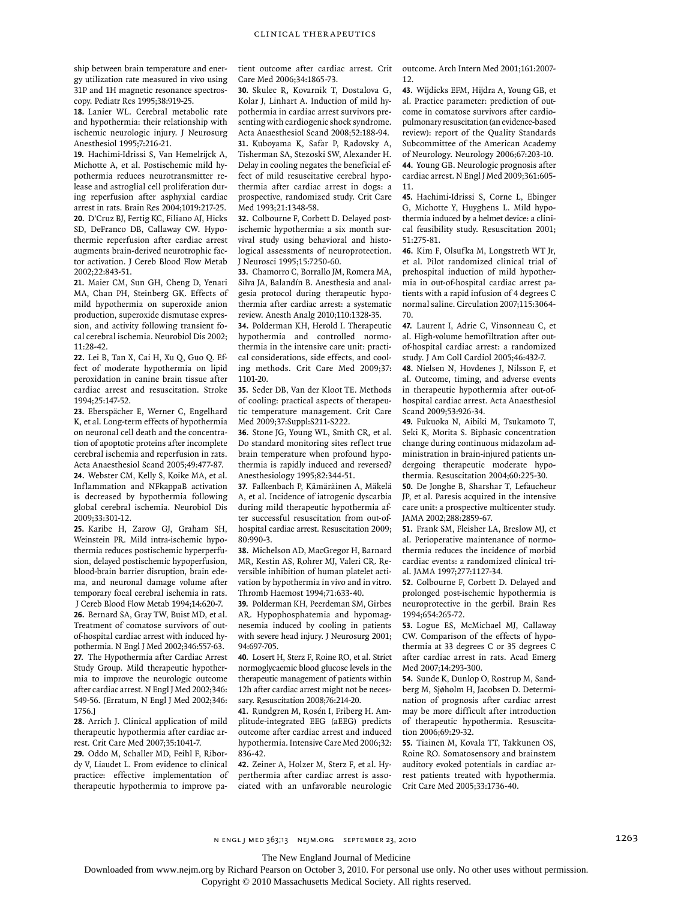ship between brain temperature and energy utilization rate measured in vivo using 31P and 1H magnetic resonance spectroscopy. Pediatr Res 1995;38:919-25.

**18.** Lanier WL. Cerebral metabolic rate and hypothermia: their relationship with ischemic neurologic injury. J Neurosurg Anesthesiol 1995;7:216-21.

**19.** Hachimi-Idrissi S, Van Hemelrijck A, Michotte A, et al. Postischemic mild hypothermia reduces neurotransmitter release and astroglial cell proliferation during reperfusion after asphyxial cardiac arrest in rats. Brain Res 2004;1019:217-25. **20.** D'Cruz BJ, Fertig KC, Filiano AJ, Hicks SD, DeFranco DB, Callaway CW. Hypothermic reperfusion after cardiac arrest augments brain-derived neurotrophic factor activation. J Cereb Blood Flow Metab 2002;22:843-51.

**21.** Maier CM, Sun GH, Cheng D, Yenari MA, Chan PH, Steinberg GK. Effects of mild hypothermia on superoxide anion production, superoxide dismutase expression, and activity following transient focal cerebral ischemia. Neurobiol Dis 2002; 11:28-42.

**22.** Lei B, Tan X, Cai H, Xu Q, Guo Q. Effect of moderate hypothermia on lipid peroxidation in canine brain tissue after cardiac arrest and resuscitation. Stroke 1994;25:147-52.

**23.** Eberspächer E, Werner C, Engelhard K, et al. Long-term effects of hypothermia on neuronal cell death and the concentration of apoptotic proteins after incomplete cerebral ischemia and reperfusion in rats. Acta Anaesthesiol Scand 2005;49:477-87.

**24.** Webster CM, Kelly S, Koike MA, et al. Inflammation and NFkappaB activation is decreased by hypothermia following global cerebral ischemia. Neurobiol Dis 2009;33:301-12.

**25.** Karibe H, Zarow GJ, Graham SH, Weinstein PR. Mild intra-ischemic hypothermia reduces postischemic hyperperfusion, delayed postischemic hypoperfusion, blood-brain barrier disruption, brain edema, and neuronal damage volume after temporary focal cerebral ischemia in rats. J Cereb Blood Flow Metab 1994;14:620-7.

**26.** Bernard SA, Gray TW, Buist MD, et al. Treatment of comatose survivors of outof-hospital cardiac arrest with induced hypothermia. N Engl J Med 2002;346:557-63. **27.** The Hypothermia after Cardiac Arrest Study Group. Mild therapeutic hypothermia to improve the neurologic outcome after cardiac arrest. N Engl J Med 2002;346: 549-56. [Erratum, N Engl J Med 2002;346: 1756.]

**28.** Arrich J. Clinical application of mild therapeutic hypothermia after cardiac arrest. Crit Care Med 2007;35:1041-7.

**29.** Oddo M, Schaller MD, Feihl F, Ribordy V, Liaudet L. From evidence to clinical practice: effective implementation of therapeutic hypothermia to improve patient outcome after cardiac arrest. Crit Care Med 2006;34:1865-73.

**30.** Skulec R, Kovarnik T, Dostalova G, Kolar J, Linhart A. Induction of mild hypothermia in cardiac arrest survivors presenting with cardiogenic shock syndrome. Acta Anaesthesiol Scand 2008;52:188-94. **31.** Kuboyama K, Safar P, Radovsky A, Tisherman SA, Stezoski SW, Alexander H. Delay in cooling negates the beneficial effect of mild resuscitative cerebral hypothermia after cardiac arrest in dogs: a prospective, randomized study. Crit Care Med 1993:21:1348-58.

**32.** Colbourne F, Corbett D. Delayed postischemic hypothermia: a six month survival study using behavioral and histological assessments of neuroprotection. J Neurosci 1995;15:7250-60.

**33.** Chamorro C, Borrallo JM, Romera MA, Silva JA, Balandín B. Anesthesia and analgesia protocol during therapeutic hypothermia after cardiac arrest: a systematic review. Anesth Analg 2010;110:1328-35.

**34.** Polderman KH, Herold I. Therapeutic hypothermia and controlled normothermia in the intensive care unit: practical considerations, side effects, and cooling methods. Crit Care Med 2009;37: 1101-20.

**35.** Seder DB, Van der Kloot TE. Methods of cooling: practical aspects of therapeutic temperature management. Crit Care Med 2009;37:Suppl:S211-S222.

**36.** Stone JG, Young WL, Smith CR, et al. Do standard monitoring sites reflect true brain temperature when profound hypothermia is rapidly induced and reversed? Anesthesiology 1995;82:344-51.

**37.** Falkenbach P, Kämäräinen A, Mäkelä A, et al. Incidence of iatrogenic dyscarbia during mild therapeutic hypothermia after successful resuscitation from out-ofhospital cardiac arrest. Resuscitation 2009; 80:990-3.

**38.** Michelson AD, MacGregor H, Barnard MR, Kestin AS, Rohrer MJ, Valeri CR. Reversible inhibition of human platelet activation by hypothermia in vivo and in vitro. Thromb Haemost 1994;71:633-40.

**39.** Polderman KH, Peerdeman SM, Girbes AR. Hypophosphatemia and hypomagnesemia induced by cooling in patients with severe head injury. J Neurosurg 2001; 94:697-705.

**40.** Losert H, Sterz F, Roine RO, et al. Strict normoglycaemic blood glucose levels in the therapeutic management of patients within 12h after cardiac arrest might not be necessary. Resuscitation 2008;76:214-20.

**41.** Rundgren M, Rosén I, Friberg H. Amplitude-integrated EEG (aEEG) predicts outcome after cardiac arrest and induced hypothermia. Intensive Care Med 2006;32: 836-42.

**42.** Zeiner A, Holzer M, Sterz F, et al. Hyperthermia after cardiac arrest is associated with an unfavorable neurologic outcome. Arch Intern Med 2001;161:2007- 12.

**43.** Wijdicks EFM, Hijdra A, Young GB, et al. Practice parameter: prediction of outcome in comatose survivors after cardiopulmonary resuscitation (an evidence-based review): report of the Quality Standards Subcommittee of the American Academy of Neurology. Neurology 2006;67:203-10. **44.** Young GB. Neurologic prognosis after cardiac arrest. N Engl J Med 2009;361:605- 11.

**45.** Hachimi-Idrissi S, Corne L, Ebinger G, Michotte Y, Huyghens L. Mild hypothermia induced by a helmet device: a clinical feasibility study. Resuscitation 2001; 51:275-81.

**46.** Kim F, Olsufka M, Longstreth WT Jr, et al. Pilot randomized clinical trial of prehospital induction of mild hypothermia in out-of-hospital cardiac arrest patients with a rapid infusion of 4 degrees C normal saline. Circulation 2007;115:3064- 70.

**47.** Laurent I, Adrie C, Vinsonneau C, et al. High-volume hemofiltration after outof-hospital cardiac arrest: a randomized study. J Am Coll Cardiol 2005;46:432-7.

**48.** Nielsen N, Hovdenes J, Nilsson F, et al. Outcome, timing, and adverse events in therapeutic hypothermia after out-ofhospital cardiac arrest. Acta Anaesthesiol Scand 2009;53:926-34.

**49.** Fukuoka N, Aibiki M, Tsukamoto T, Seki K, Morita S. Biphasic concentration change during continuous midazolam administration in brain-injured patients undergoing therapeutic moderate hypothermia. Resuscitation 2004;60:225-30.

**50.** De Jonghe B, Sharshar T, Lefaucheur JP, et al. Paresis acquired in the intensive care unit: a prospective multicenter study. JAMA 2002;288:2859-67.

**51.** Frank SM, Fleisher LA, Breslow MJ, et al. Perioperative maintenance of normothermia reduces the incidence of morbid cardiac events: a randomized clinical trial. JAMA 1997;277:1127-34.

**52.** Colbourne F, Corbett D. Delayed and prolonged post-ischemic hypothermia is neuroprotective in the gerbil. Brain Res 1994;654:265-72.

**53.** Logue ES, McMichael MJ, Callaway CW. Comparison of the effects of hypothermia at 33 degrees C or 35 degrees C after cardiac arrest in rats. Acad Emerg Med 2007;14:293-300.

**54.** Sunde K, Dunlop O, Rostrup M, Sandberg M, Sjøholm H, Jacobsen D. Determination of prognosis after cardiac arrest may be more difficult after introduction of therapeutic hypothermia. Resuscitation 2006;69:29-32.

**55.** Tiainen M, Kovala TT, Takkunen OS, Roine RO. Somatosensory and brainstem auditory evoked potentials in cardiac arrest patients treated with hypothermia. Crit Care Med 2005;33:1736-40.

The New England Journal of Medicine

Downloaded from www.nejm.org by Richard Pearson on October 3, 2010. For personal use only. No other uses without permission.